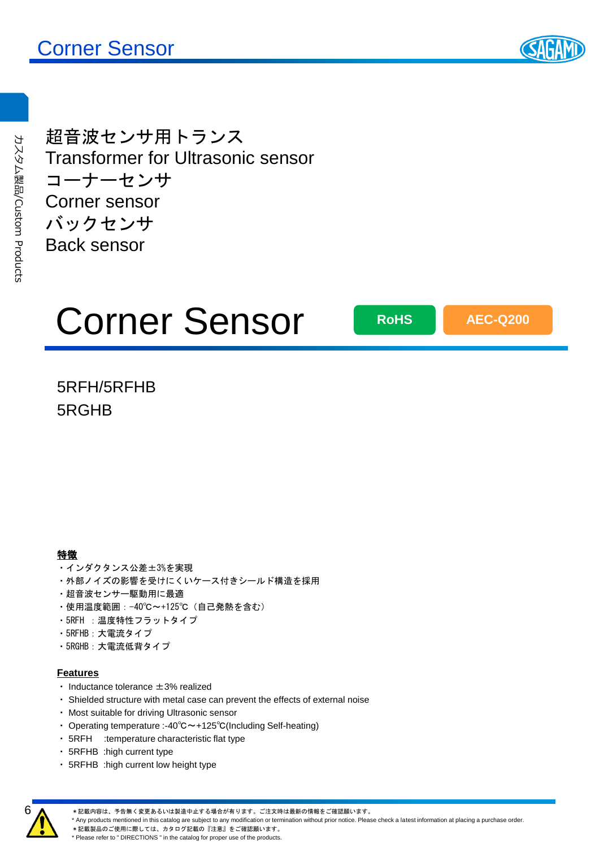

超音波センサ用トランス Transformer for Ultrasonic sensor コーナーセンサ Corner sensor バックセンサ Back sensor

# Corner Sensor

**RoHS**

**AEC-Q200**

## 5RFH/5RFHB 5RGHB

### 特徴

- ・インダクタンス公差±3%を実現
- ・外部ノイズの影響を受けにくいケース付きシールド構造を採用
- ・超音波センサー駆動用に最適
- ・使用温度範囲:-40℃~+125℃(自己発熱を含む)
- ・5RFH :温度特性フラットタイプ
- ・5RFHB:大電流タイプ
- ・5RGHB:大電流低背タイプ

### **Features**

- ・ Inductance tolerance ±3% realized
- ・ Shielded structure with metal case can prevent the effects of external noise
- ・ Most suitable for driving Ultrasonic sensor
- ・ Operating temperature :-40℃~+125℃(Including Self-heating)
- ・ 5RFH :temperature characteristic flat type
- ・ 5RFHB :high current type
- ・ 5RFHB :high current low height type



\*記載内容は、予告無く変更あるいは製造中止する場合が有ります。ご注文時は最新の情報をご確認願います。

\* Any products mentioned in this catalog are subject to any modification or termination without prior notice. Please check a latest information at placing a purchase order.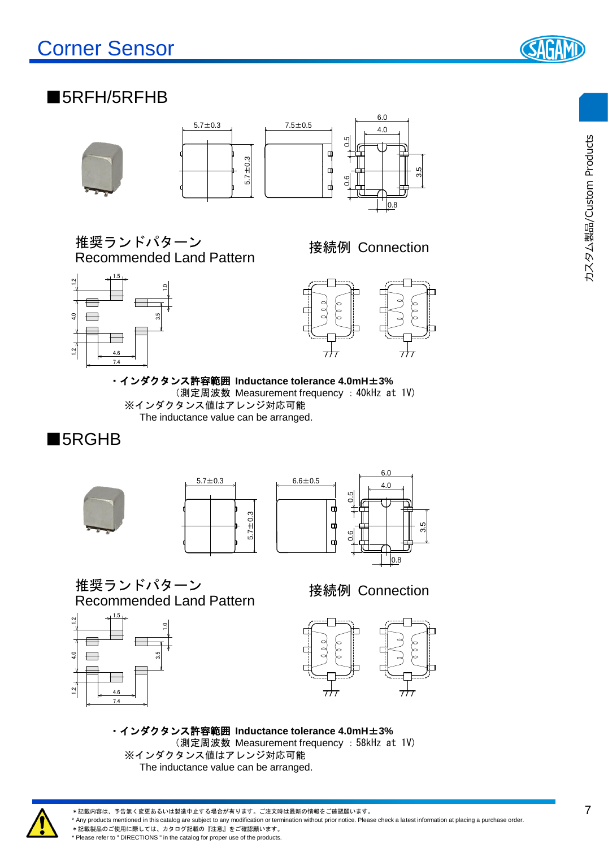

## ■5RFH/5RFHB





推奨ランドパターン Recommended Land Pattern

接続例 Connection





・インダクタンス許容範囲 **Inductance tolerance 4.0mH**±**3%** (測定周波数 Measurement frequency :40kHz at 1V) ※インダクタンス値はアレンジ対応可能 The inductance value can be arranged.

## ■5RGHB







推奨ランドパターン Recommended Land Pattern



接続例 Connection



・インダクタンス許容範囲 **Inductance tolerance 4.0mH**±**3%** (測定周波数 Measurement frequency :58kHz at 1V) ※インダクタンス値はアレンジ対応可能 The inductance value can be arranged.



\*記載内容は、予告無く変更あるいは製造中止する場合が有ります。ご注文時は最新の情報をご確認願います。

\* Any products mentioned in this catalog are subject to any modification or termination without prior notice. Please check a latest information at placing a purchase order.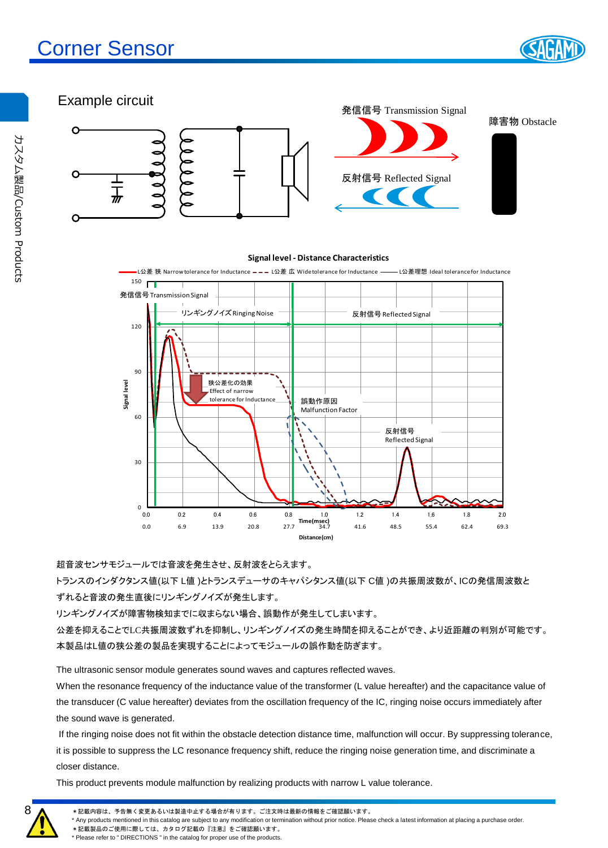



超音波センサモジュールでは音波を発生させ、反射波をとらえます。

 $\begin{smallmatrix}0&\mathbf{L}\0&0.0\end{smallmatrix}$ 

 $30$ 

トランスのインダクタンス値(以下 L値 )とトランスデューサのキャパシタンス値(以下 C値 )の共振周波数が、ICの発信周波数と ずれると音波の発生直後にリンギングノイズが発生します。

0.0 6.9 13.9 20.8 27.7 34.7 41.6 48.5 55.4 62.4 69.3

**Distance(cm)**

**Time(msec)**

0.0 0.2 0.4 0.6 0.8 1.0 1.2 1.4 1.6 1.8 2.0

リンギングノイズが障害物検知までに収まらない場合、誤動作が発生してしまいます。

公差を抑えることでLC共振周波数ずれを抑制し、リンギングノイズの発生時間を抑えることができ、より近距離の判別が可能です。 本製品はL値の狭公差の製品を実現することによってモジュールの誤作動を防ぎます。

The ultrasonic sensor module generates sound waves and captures reflected waves.

When the resonance frequency of the inductance value of the transformer (L value hereafter) and the capacitance value of the transducer (C value hereafter) deviates from the oscillation frequency of the IC, ringing noise occurs immediately after the sound wave is generated.

If the ringing noise does not fit within the obstacle detection distance time, malfunction will occur. By suppressing tolerance, it is possible to suppress the LC resonance frequency shift, reduce the ringing noise generation time, and discriminate a closer distance.

This product prevents module malfunction by realizing products with narrow L value tolerance.

\* Any products mentioned in this catalog are subject to any modification or termination without prior notice. Please check a latest information at placing a purchase order.

\*記載製品のご使用に際しては、カタログ記載の『注意』をご確認願います。 \* Please refer to " DIRECTIONS " in the catalog for proper use of the products.

8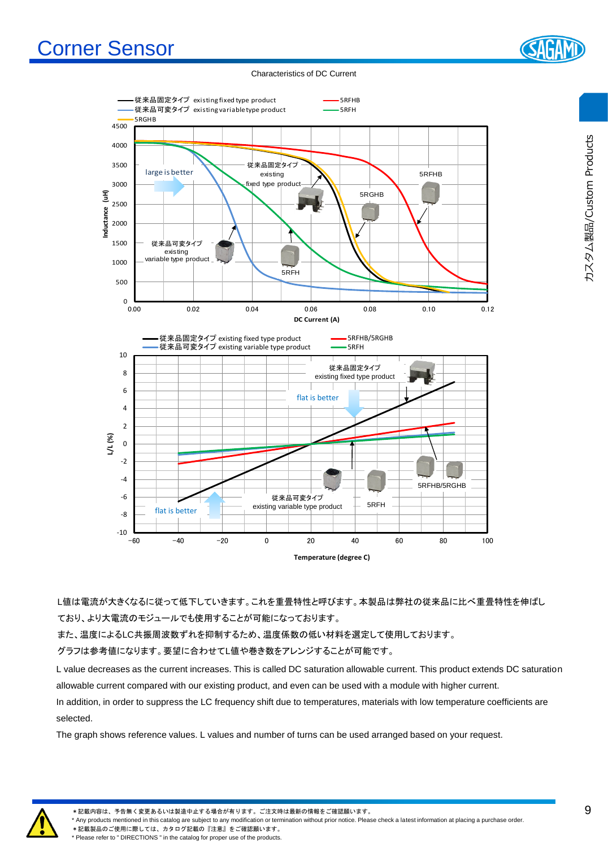# Corner Sensor

Characteristics of DC Current

![](_page_3_Figure_2.jpeg)

L値は電流が大きくなるに従って低下していきます。これを重畳特性と呼びます。本製品は弊社の従来品に比べ重畳特性を伸ばし ており、より大電流のモジュールでも使用することが可能になっております。

また、温度によるLC共振周波数ずれを抑制するため、温度係数の低い材料を選定して使用しております。

グラフは参考値になります。要望に合わせてL値や巻き数をアレンジすることが可能です。

L value decreases as the current increases. This is called DC saturation allowable current. This product extends DC saturation allowable current compared with our existing product, and even can be used with a module with higher current.

In addition, in order to suppress the LC frequency shift due to temperatures, materials with low temperature coefficients are selected.

The graph shows reference values. L values and number of turns can be used arranged based on your request.

![](_page_3_Picture_10.jpeg)

\*記載内容は、予告無く変更あるいは製造中止する場合が有ります。ご注文時は最新の情報をご確認願います。

\* Any products mentioned in this catalog are subject to any modification or termination without prior notice. Please check a latest information at placing a purchase order.

\*記載製品のご使用に際しては、カタログ記載の『注意』をご確認願います。 \* Please refer to " DIRECTIONS " in the catalog for proper use of the products.

![](_page_3_Picture_15.jpeg)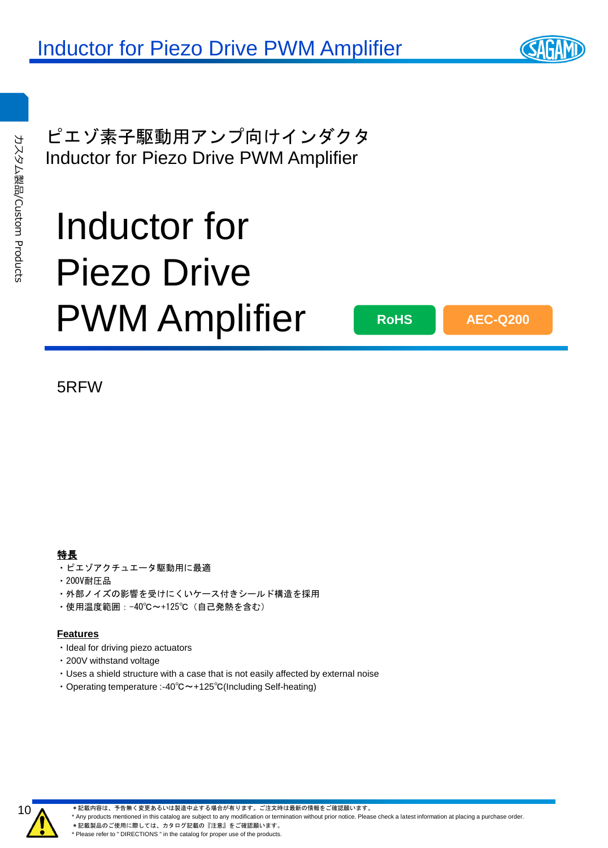ピエゾ素子駆動用アンプ向けインダクタ Inductor for Piezo Drive PWM Amplifier

# Inductor for Piezo Drive PWM Amplifier

**RoHS**

**AEC-Q200**

5RFW

### 特長

- ・ピエゾアクチュエータ駆動用に最適
- ・200V耐圧品
- ・外部ノイズの影響を受けにくいケース付きシールド構造を採用
- ・使用温度範囲:-40℃~+125℃(自己発熱を含む)

### **Features**

- ・Ideal for driving piezo actuators
- ・200V withstand voltage
- ・Uses a shield structure with a case that is not easily affected by external noise
- ・Operating temperature :-40℃~+125℃(Including Self-heating)

![](_page_4_Picture_16.jpeg)

\*記載内容は、予告無く変更あるいは製造中止する場合が有ります。ご注文時は最新の情報をご確認願います。

\* Any products mentioned in this catalog are subject to any modification or termination without prior notice. Please check a latest information at placing a purchase order.